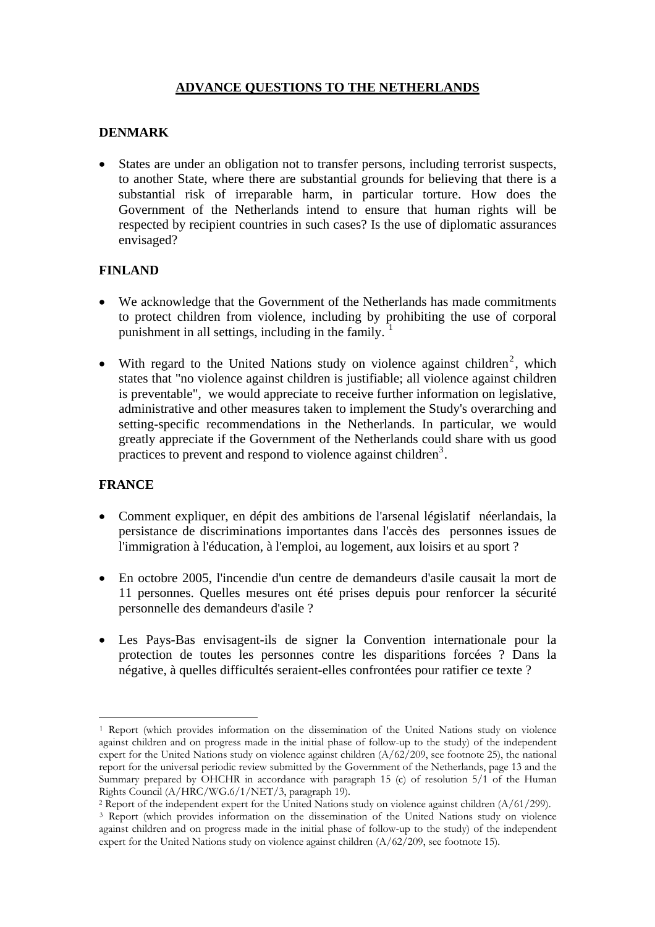## **ADVANCE QUESTIONS TO THE NETHERLANDS**

#### **DENMARK**

• States are under an obligation not to transfer persons, including terrorist suspects, to another State, where there are substantial grounds for believing that there is a substantial risk of irreparable harm, in particular torture. How does the Government of the Netherlands intend to ensure that human rights will be respected by recipient countries in such cases? Is the use of diplomatic assurances envisaged?

### **FINLAND**

- We acknowledge that the Government of the Netherlands has made commitments to protect children from violence, including by prohibiting the use of corporal punishment in all settings, including in the family. [1](#page-0-0)
- With regard to the United Nations study on violence against children<sup>[2](#page-0-1)</sup>, which states that "no violence against children is justifiable; all violence against children is preventable", we would appreciate to receive further information on legislative, administrative and other measures taken to implement the Study's overarching and setting-specific recommendations in the Netherlands. In particular, we would greatly appreciate if the Government of the Netherlands could share with us good practices to prevent and respond to violence against children<sup>[3](#page-0-2)</sup>.

#### **FRANCE**

 $\overline{a}$ 

- Comment expliquer, en dépit des ambitions de l'arsenal législatif néerlandais, la persistance de discriminations importantes dans l'accès des personnes issues de l'immigration à l'éducation, à l'emploi, au logement, aux loisirs et au sport ?
- En octobre 2005, l'incendie d'un centre de demandeurs d'asile causait la mort de 11 personnes. Quelles mesures ont été prises depuis pour renforcer la sécurité personnelle des demandeurs d'asile ?
- Les Pays-Bas envisagent-ils de signer la Convention internationale pour la protection de toutes les personnes contre les disparitions forcées ? Dans la négative, à quelles difficultés seraient-elles confrontées pour ratifier ce texte ?

<span id="page-0-0"></span><sup>1</sup> Report (which provides information on the dissemination of the United Nations study on violence against children and on progress made in the initial phase of follow-up to the study) of the independent expert for the United Nations study on violence against children  $(A/62/209)$ , see footnote 25), the national report for the universal periodic review submitted by the Government of the Netherlands, page 13 and the Summary prepared by OHCHR in accordance with paragraph 15 (c) of resolution  $5/1$  of the Human Rights Council (A/HRC/WG.6/1/NET/3, paragraph 19).<br><sup>2</sup> Report of the independent expert for the United Nations study on violence against children (A/61/299).

<span id="page-0-1"></span>

<span id="page-0-2"></span><sup>&</sup>lt;sup>3</sup> Report (which provides information on the dissemination of the United Nations study on violence against children and on progress made in the initial phase of follow-up to the study) of the independent expert for the United Nations study on violence against children  $(A/62/209)$ , see footnote 15).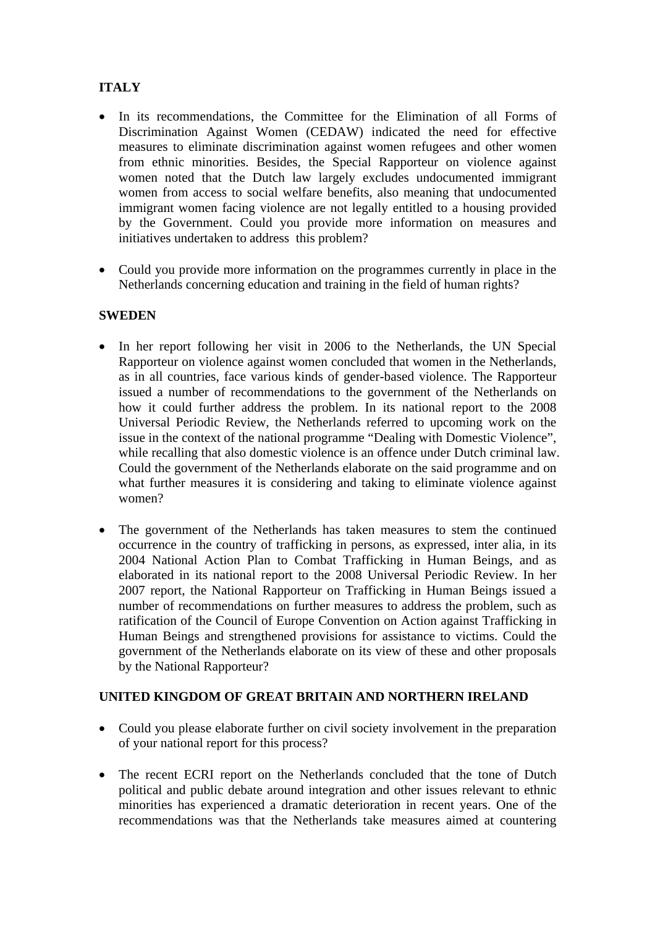# **ITALY**

- In its recommendations, the Committee for the Elimination of all Forms of Discrimination Against Women (CEDAW) indicated the need for effective measures to eliminate discrimination against women refugees and other women from ethnic minorities. Besides, the Special Rapporteur on violence against women noted that the Dutch law largely excludes undocumented immigrant women from access to social welfare benefits, also meaning that undocumented immigrant women facing violence are not legally entitled to a housing provided by the Government. Could you provide more information on measures and initiatives undertaken to address this problem?
- Could you provide more information on the programmes currently in place in the Netherlands concerning education and training in the field of human rights?

#### **SWEDEN**

- In her report following her visit in 2006 to the Netherlands, the UN Special Rapporteur on violence against women concluded that women in the Netherlands, as in all countries, face various kinds of gender-based violence. The Rapporteur issued a number of recommendations to the government of the Netherlands on how it could further address the problem. In its national report to the 2008 Universal Periodic Review, the Netherlands referred to upcoming work on the issue in the context of the national programme "Dealing with Domestic Violence", while recalling that also domestic violence is an offence under Dutch criminal law. Could the government of the Netherlands elaborate on the said programme and on what further measures it is considering and taking to eliminate violence against women?
- The government of the Netherlands has taken measures to stem the continued occurrence in the country of trafficking in persons, as expressed, inter alia, in its 2004 National Action Plan to Combat Trafficking in Human Beings, and as elaborated in its national report to the 2008 Universal Periodic Review. In her 2007 report, the National Rapporteur on Trafficking in Human Beings issued a number of recommendations on further measures to address the problem, such as ratification of the Council of Europe Convention on Action against Trafficking in Human Beings and strengthened provisions for assistance to victims. Could the government of the Netherlands elaborate on its view of these and other proposals by the National Rapporteur?

#### **UNITED KINGDOM OF GREAT BRITAIN AND NORTHERN IRELAND**

- Could you please elaborate further on civil society involvement in the preparation of your national report for this process?
- The recent ECRI report on the Netherlands concluded that the tone of Dutch political and public debate around integration and other issues relevant to ethnic minorities has experienced a dramatic deterioration in recent years. One of the recommendations was that the Netherlands take measures aimed at countering